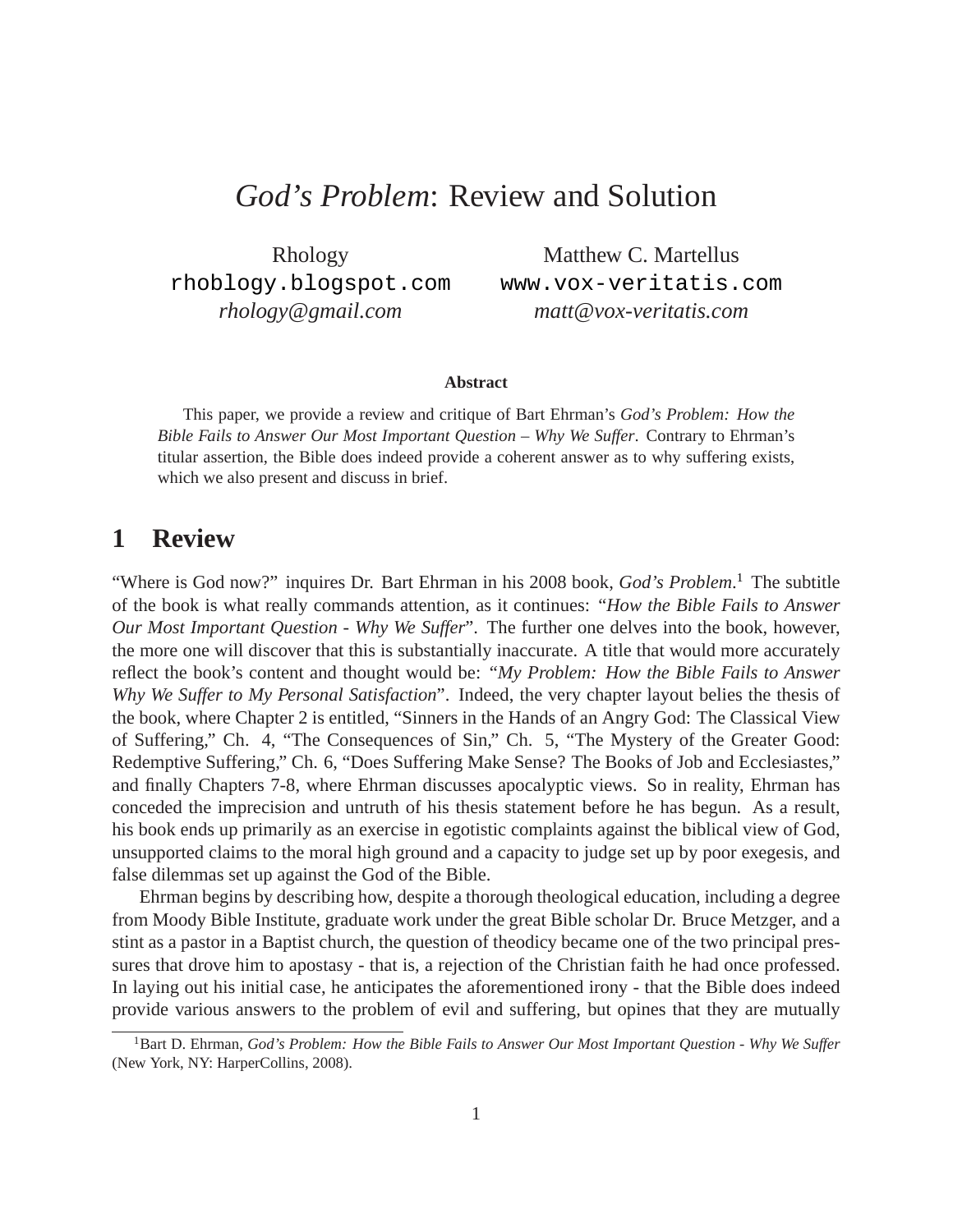# *God's Problem*: Review and Solution

Rhology <rhoblogy.blogspot.com> *rhology@gmail.com*

Matthew C. Martellus <www.vox-veritatis.com> *matt@vox-veritatis.com*

#### **Abstract**

This paper, we provide a review and critique of Bart Ehrman's *God's Problem: How the Bible Fails to Answer Our Most Important Question – Why We Suffer*. Contrary to Ehrman's titular assertion, the Bible does indeed provide a coherent answer as to why suffering exists, which we also present and discuss in brief.

## **1 Review**

"Where is God now?" inquires Dr. Bart Ehrman in his 2008 book, *God's Problem*. [1](#page-0-0) The subtitle of the book is what really commands attention, as it continues: "*How the Bible Fails to Answer Our Most Important Question - Why We Suffer*". The further one delves into the book, however, the more one will discover that this is substantially inaccurate. A title that would more accurately reflect the book's content and thought would be: "*My Problem: How the Bible Fails to Answer Why We Suffer to My Personal Satisfaction*". Indeed, the very chapter layout belies the thesis of the book, where Chapter 2 is entitled, "Sinners in the Hands of an Angry God: The Classical View of Suffering," Ch. 4, "The Consequences of Sin," Ch. 5, "The Mystery of the Greater Good: Redemptive Suffering," Ch. 6, "Does Suffering Make Sense? The Books of Job and Ecclesiastes," and finally Chapters 7-8, where Ehrman discusses apocalyptic views. So in reality, Ehrman has conceded the imprecision and untruth of his thesis statement before he has begun. As a result, his book ends up primarily as an exercise in egotistic complaints against the biblical view of God, unsupported claims to the moral high ground and a capacity to judge set up by poor exegesis, and false dilemmas set up against the God of the Bible.

Ehrman begins by describing how, despite a thorough theological education, including a degree from Moody Bible Institute, graduate work under the great Bible scholar Dr. Bruce Metzger, and a stint as a pastor in a Baptist church, the question of theodicy became one of the two principal pressures that drove him to apostasy - that is, a rejection of the Christian faith he had once professed. In laying out his initial case, he anticipates the aforementioned irony - that the Bible does indeed provide various answers to the problem of evil and suffering, but opines that they are mutually

<span id="page-0-0"></span><sup>&</sup>lt;sup>1</sup>Bart D. Ehrman, *God's Problem: How the Bible Fails to Answer Our Most Important Question - Why We Suffer* (New York, NY: HarperCollins, 2008).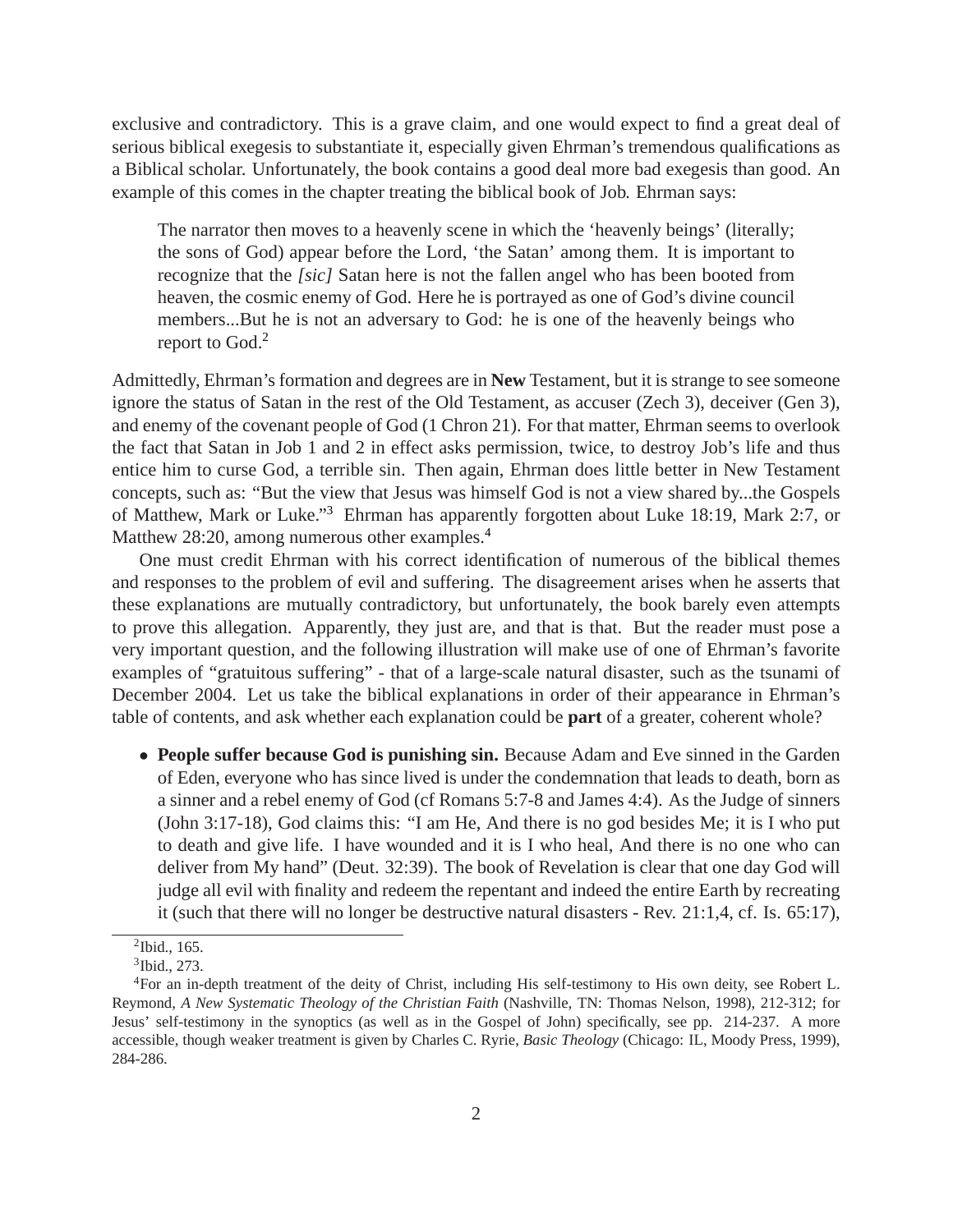exclusive and contradictory. This is a grave claim, and one would expect to find a great deal of serious biblical exegesis to substantiate it, especially given Ehrman's tremendous qualifications as a Biblical scholar. Unfortunately, the book contains a good deal more bad exegesis than good. An example of this comes in the chapter treating the biblical book of Job. Ehrman says:

The narrator then moves to a heavenly scene in which the 'heavenly beings' (literally; the sons of God) appear before the Lord, 'the Satan' among them. It is important to recognize that the *[sic]* Satan here is not the fallen angel who has been booted from heaven, the cosmic enemy of God. Here he is portrayed as one of God's divine council members...But he is not an adversary to God: he is one of the heavenly beings who report to God.[2](#page-1-0)

Admittedly, Ehrman's formation and degrees are in **New** Testament, but it is strange to see someone ignore the status of Satan in the rest of the Old Testament, as accuser (Zech 3), deceiver (Gen 3), and enemy of the covenant people of God (1 Chron 21). For that matter, Ehrman seems to overlook the fact that Satan in Job 1 and 2 in effect asks permission, twice, to destroy Job's life and thus entice him to curse God, a terrible sin. Then again, Ehrman does little better in New Testament concepts, such as: "But the view that Jesus was himself God is not a view shared by...the Gospels of Matthew, Mark or Luke."[3](#page-1-1) Ehrman has apparently forgotten about Luke 18:19, Mark 2:7, or Matthew 28:20, among numerous other examples.<sup>[4](#page-1-2)</sup>

One must credit Ehrman with his correct identification of numerous of the biblical themes and responses to the problem of evil and suffering. The disagreement arises when he asserts that these explanations are mutually contradictory, but unfortunately, the book barely even attempts to prove this allegation. Apparently, they just are, and that is that. But the reader must pose a very important question, and the following illustration will make use of one of Ehrman's favorite examples of "gratuitous suffering" - that of a large-scale natural disaster, such as the tsunami of December 2004. Let us take the biblical explanations in order of their appearance in Ehrman's table of contents, and ask whether each explanation could be **part** of a greater, coherent whole?

• **People suffer because God is punishing sin.** Because Adam and Eve sinned in the Garden of Eden, everyone who has since lived is under the condemnation that leads to death, born as a sinner and a rebel enemy of God (cf Romans 5:7-8 and James 4:4). As the Judge of sinners (John 3:17-18), God claims this: "I am He, And there is no god besides Me; it is I who put to death and give life. I have wounded and it is I who heal, And there is no one who can deliver from My hand" (Deut. 32:39). The book of Revelation is clear that one day God will judge all evil with finality and redeem the repentant and indeed the entire Earth by recreating it (such that there will no longer be destructive natural disasters - Rev. 21:1,4, cf. Is. 65:17),

 $2$ Ibid., 165.

<span id="page-1-1"></span><span id="page-1-0"></span><sup>3</sup> Ibid., 273.

<span id="page-1-2"></span><sup>4</sup>For an in-depth treatment of the deity of Christ, including His self-testimony to His own deity, see Robert L. Reymond, *A New Systematic Theology of the Christian Faith* (Nashville, TN: Thomas Nelson, 1998), 212-312; for Jesus' self-testimony in the synoptics (as well as in the Gospel of John) specifically, see pp. 214-237. A more accessible, though weaker treatment is given by Charles C. Ryrie, *Basic Theology* (Chicago: IL, Moody Press, 1999), 284-286.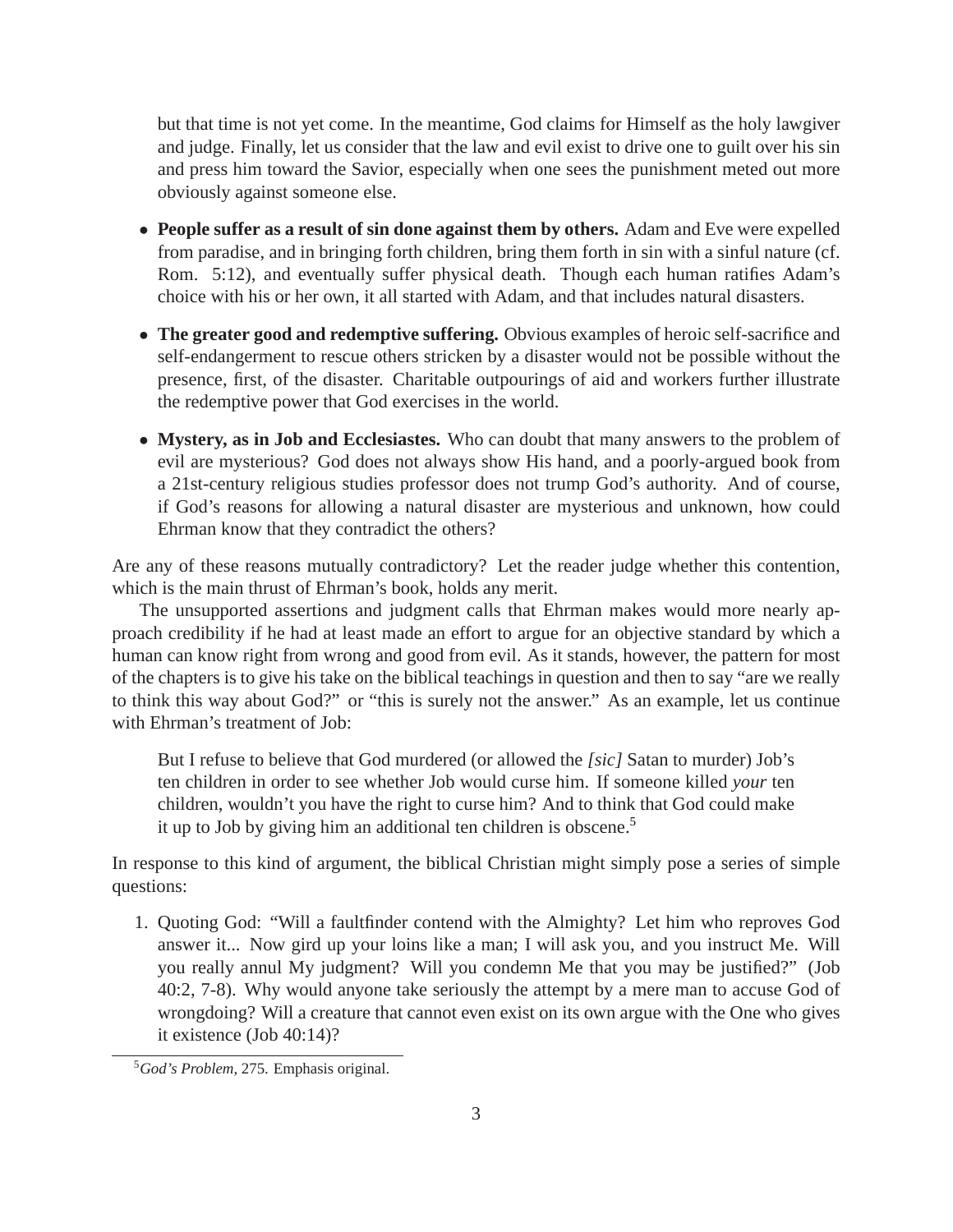but that time is not yet come. In the meantime, God claims for Himself as the holy lawgiver and judge. Finally, let us consider that the law and evil exist to drive one to guilt over his sin and press him toward the Savior, especially when one sees the punishment meted out more obviously against someone else.

- **People suffer as a result of sin done against them by others.** Adam and Eve were expelled from paradise, and in bringing forth children, bring them forth in sin with a sinful nature (cf. Rom. 5:12), and eventually suffer physical death. Though each human ratifies Adam's choice with his or her own, it all started with Adam, and that includes natural disasters.
- **The greater good and redemptive suffering.** Obvious examples of heroic self-sacrifice and self-endangerment to rescue others stricken by a disaster would not be possible without the presence, first, of the disaster. Charitable outpourings of aid and workers further illustrate the redemptive power that God exercises in the world.
- **Mystery, as in Job and Ecclesiastes.** Who can doubt that many answers to the problem of evil are mysterious? God does not always show His hand, and a poorly-argued book from a 21st-century religious studies professor does not trump God's authority. And of course, if God's reasons for allowing a natural disaster are mysterious and unknown, how could Ehrman know that they contradict the others?

Are any of these reasons mutually contradictory? Let the reader judge whether this contention, which is the main thrust of Ehrman's book, holds any merit.

The unsupported assertions and judgment calls that Ehrman makes would more nearly approach credibility if he had at least made an effort to argue for an objective standard by which a human can know right from wrong and good from evil. As it stands, however, the pattern for most of the chapters is to give his take on the biblical teachings in question and then to say "are we really to think this way about God?" or "this is surely not the answer." As an example, let us continue with Ehrman's treatment of Job:

But I refuse to believe that God murdered (or allowed the *[sic]* Satan to murder) Job's ten children in order to see whether Job would curse him. If someone killed *your* ten children, wouldn't you have the right to curse him? And to think that God could make it up to Job by giving him an additional ten children is obscene.[5](#page-2-0)

In response to this kind of argument, the biblical Christian might simply pose a series of simple questions:

1. Quoting God: "Will a faultfinder contend with the Almighty? Let him who reproves God answer it... Now gird up your loins like a man; I will ask you, and you instruct Me. Will you really annul My judgment? Will you condemn Me that you may be justified?" (Job 40:2, 7-8). Why would anyone take seriously the attempt by a mere man to accuse God of wrongdoing? Will a creature that cannot even exist on its own argue with the One who gives it existence (Job 40:14)?

<span id="page-2-0"></span><sup>5</sup>*God's Problem*, 275. Emphasis original.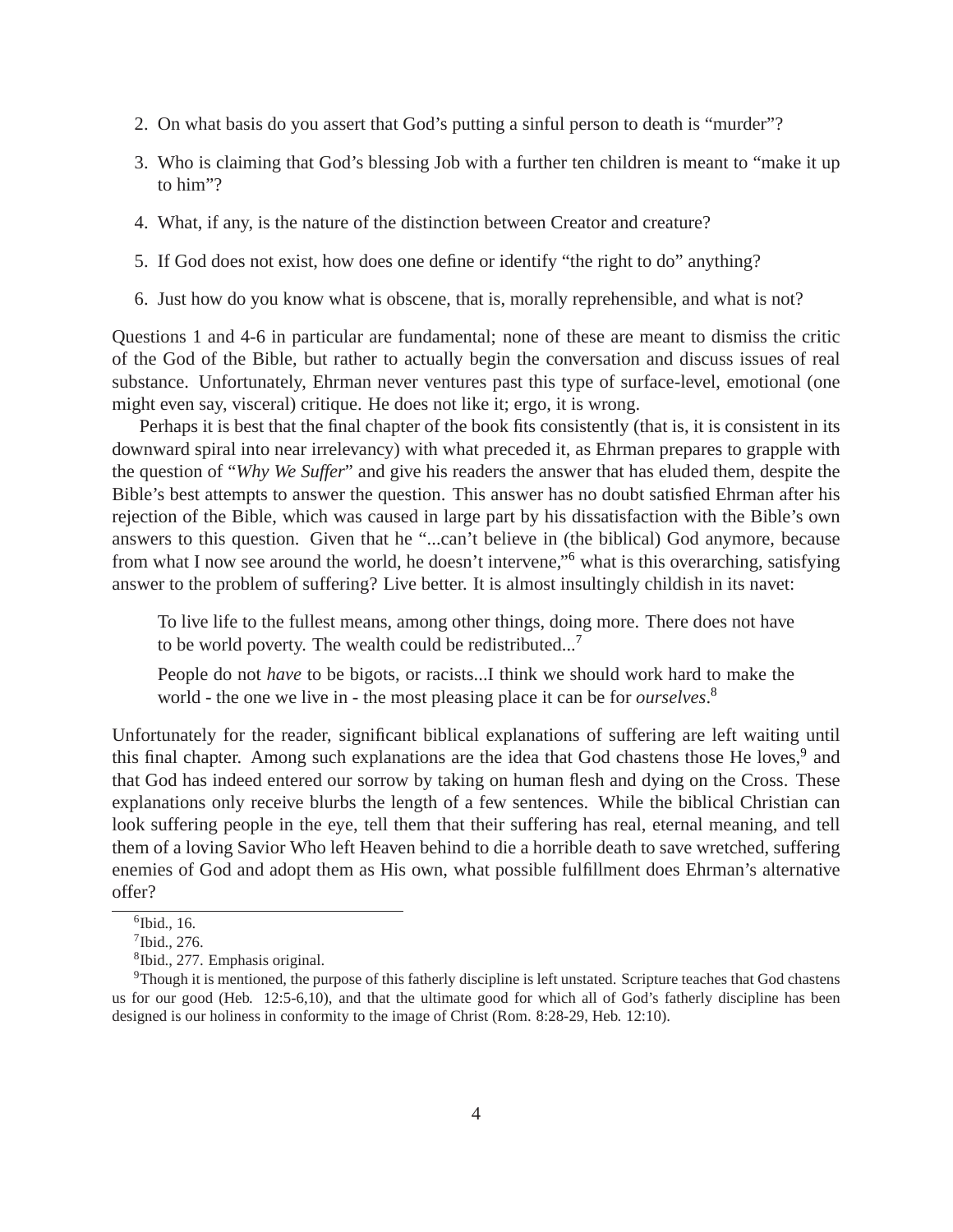- 2. On what basis do you assert that God's putting a sinful person to death is "murder"?
- 3. Who is claiming that God's blessing Job with a further ten children is meant to "make it up to him"?
- 4. What, if any, is the nature of the distinction between Creator and creature?
- 5. If God does not exist, how does one define or identify "the right to do" anything?
- 6. Just how do you know what is obscene, that is, morally reprehensible, and what is not?

Questions 1 and 4-6 in particular are fundamental; none of these are meant to dismiss the critic of the God of the Bible, but rather to actually begin the conversation and discuss issues of real substance. Unfortunately, Ehrman never ventures past this type of surface-level, emotional (one might even say, visceral) critique. He does not like it; ergo, it is wrong.

Perhaps it is best that the final chapter of the book fits consistently (that is, it is consistent in its downward spiral into near irrelevancy) with what preceded it, as Ehrman prepares to grapple with the question of "*Why We Suffer*" and give his readers the answer that has eluded them, despite the Bible's best attempts to answer the question. This answer has no doubt satisfied Ehrman after his rejection of the Bible, which was caused in large part by his dissatisfaction with the Bible's own answers to this question. Given that he "...can't believe in (the biblical) God anymore, because from what I now see around the world, he doesn't intervene,"[6](#page-3-0) what is this overarching, satisfying answer to the problem of suffering? Live better. It is almost insultingly childish in its navet:

To live life to the fullest means, among other things, doing more. There does not have to be world poverty. The wealth could be redistributed...[7](#page-3-1)

People do not *have* to be bigots, or racists...I think we should work hard to make the world - the one we live in - the most pleasing place it can be for *ourselves*. [8](#page-3-2)

Unfortunately for the reader, significant biblical explanations of suffering are left waiting until this final chapter. Among such explanations are the idea that God chastens those He loves,<sup>[9](#page-3-3)</sup> and that God has indeed entered our sorrow by taking on human flesh and dying on the Cross. These explanations only receive blurbs the length of a few sentences. While the biblical Christian can look suffering people in the eye, tell them that their suffering has real, eternal meaning, and tell them of a loving Savior Who left Heaven behind to die a horrible death to save wretched, suffering enemies of God and adopt them as His own, what possible fulfillment does Ehrman's alternative offer?

<sup>6</sup> Ibid., 16.

<span id="page-3-0"></span><sup>7</sup> Ibid., 276.

<span id="page-3-2"></span><span id="page-3-1"></span><sup>8</sup> Ibid., 277. Emphasis original.

<span id="page-3-3"></span><sup>9</sup>Though it is mentioned, the purpose of this fatherly discipline is left unstated. Scripture teaches that God chastens us for our good (Heb. 12:5-6,10), and that the ultimate good for which all of God's fatherly discipline has been designed is our holiness in conformity to the image of Christ (Rom. 8:28-29, Heb. 12:10).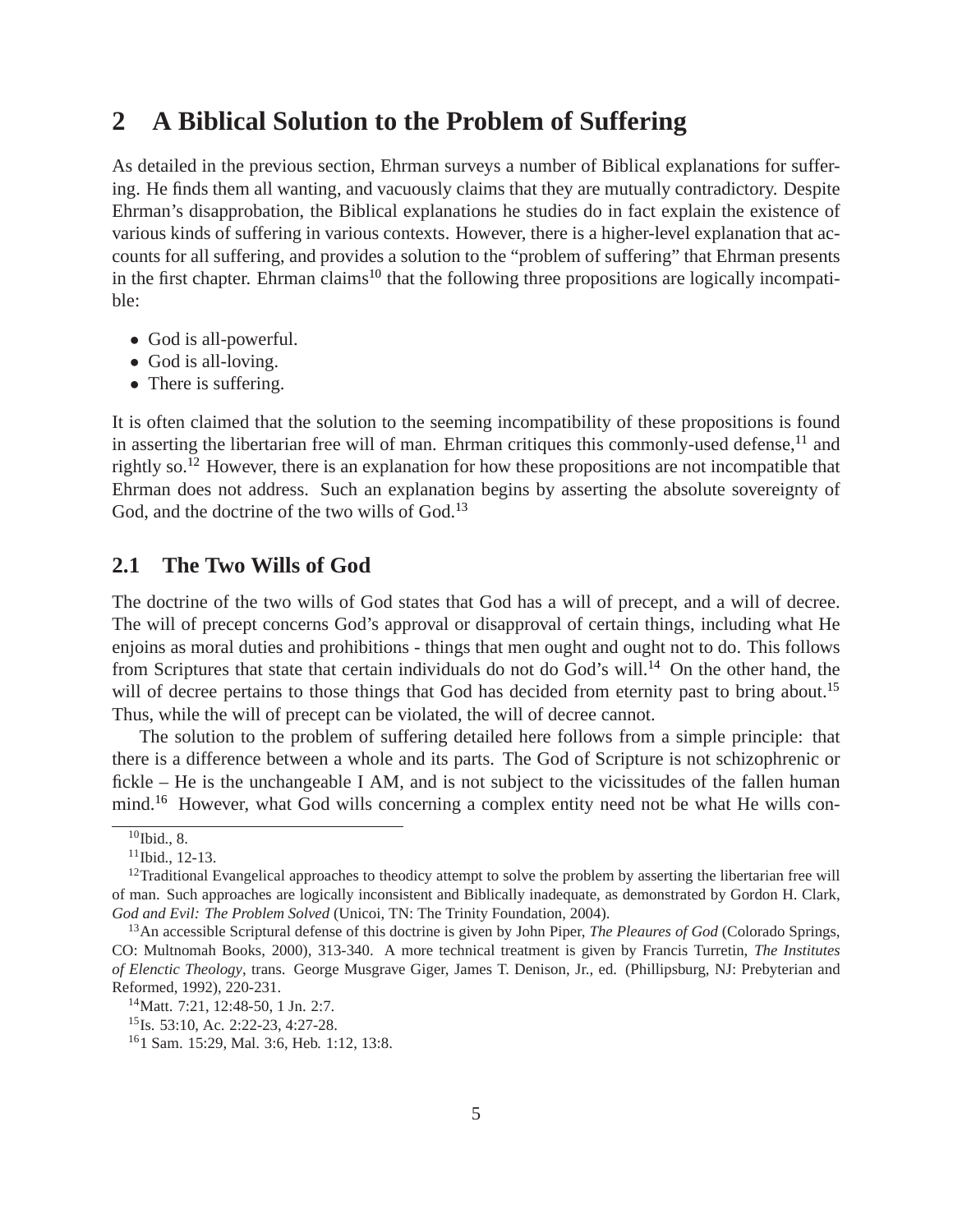## **2 A Biblical Solution to the Problem of Suffering**

As detailed in the previous section, Ehrman surveys a number of Biblical explanations for suffering. He finds them all wanting, and vacuously claims that they are mutually contradictory. Despite Ehrman's disapprobation, the Biblical explanations he studies do in fact explain the existence of various kinds of suffering in various contexts. However, there is a higher-level explanation that accounts for all suffering, and provides a solution to the "problem of suffering" that Ehrman presents in the first chapter. Ehrman claims<sup>[10](#page-4-0)</sup> that the following three propositions are logically incompatible:

- God is all-powerful.
- God is all-loving.
- There is suffering.

It is often claimed that the solution to the seeming incompatibility of these propositions is found in asserting the libertarian free will of man. Ehrman critiques this commonly-used defense, $11$  and rightly so.[12](#page-4-2) However, there is an explanation for how these propositions are not incompatible that Ehrman does not address. Such an explanation begins by asserting the absolute sovereignty of God, and the doctrine of the two wills of God.<sup>[13](#page-4-3)</sup>

#### **2.1 The Two Wills of God**

The doctrine of the two wills of God states that God has a will of precept, and a will of decree. The will of precept concerns God's approval or disapproval of certain things, including what He enjoins as moral duties and prohibitions - things that men ought and ought not to do. This follows from Scriptures that state that certain individuals do not do God's will.<sup>[14](#page-4-4)</sup> On the other hand, the will of decree pertains to those things that God has decided from eternity past to bring about.<sup>[15](#page-4-5)</sup> Thus, while the will of precept can be violated, the will of decree cannot.

The solution to the problem of suffering detailed here follows from a simple principle: that there is a difference between a whole and its parts. The God of Scripture is not schizophrenic or fickle – He is the unchangeable I AM, and is not subject to the vicissitudes of the fallen human mind.<sup>[16](#page-4-6)</sup> However, what God wills concerning a complex entity need not be what He wills con-

 $\overline{^{10}}$ Ibid., 8.

<span id="page-4-1"></span><span id="page-4-0"></span> $11$ Ibid., 12-13.

<span id="page-4-2"></span><sup>&</sup>lt;sup>12</sup>Traditional Evangelical approaches to theodicy attempt to solve the problem by asserting the libertarian free will of man. Such approaches are logically inconsistent and Biblically inadequate, as demonstrated by Gordon H. Clark, *God and Evil: The Problem Solved* (Unicoi, TN: The Trinity Foundation, 2004).

<span id="page-4-3"></span><sup>13</sup>An accessible Scriptural defense of this doctrine is given by John Piper, *The Pleaures of God* (Colorado Springs, CO: Multnomah Books, 2000), 313-340. A more technical treatment is given by Francis Turretin, *The Institutes of Elenctic Theology*, trans. George Musgrave Giger, James T. Denison, Jr., ed. (Phillipsburg, NJ: Prebyterian and Reformed, 1992), 220-231.

<sup>14</sup>Matt. 7:21, 12:48-50, 1 Jn. 2:7.

<span id="page-4-4"></span><sup>&</sup>lt;sup>15</sup>Is. 53:10, Ac. 2:22-23, 4:27-28.

<span id="page-4-6"></span><span id="page-4-5"></span><sup>16</sup>1 Sam. 15:29, Mal. 3:6, Heb. 1:12, 13:8.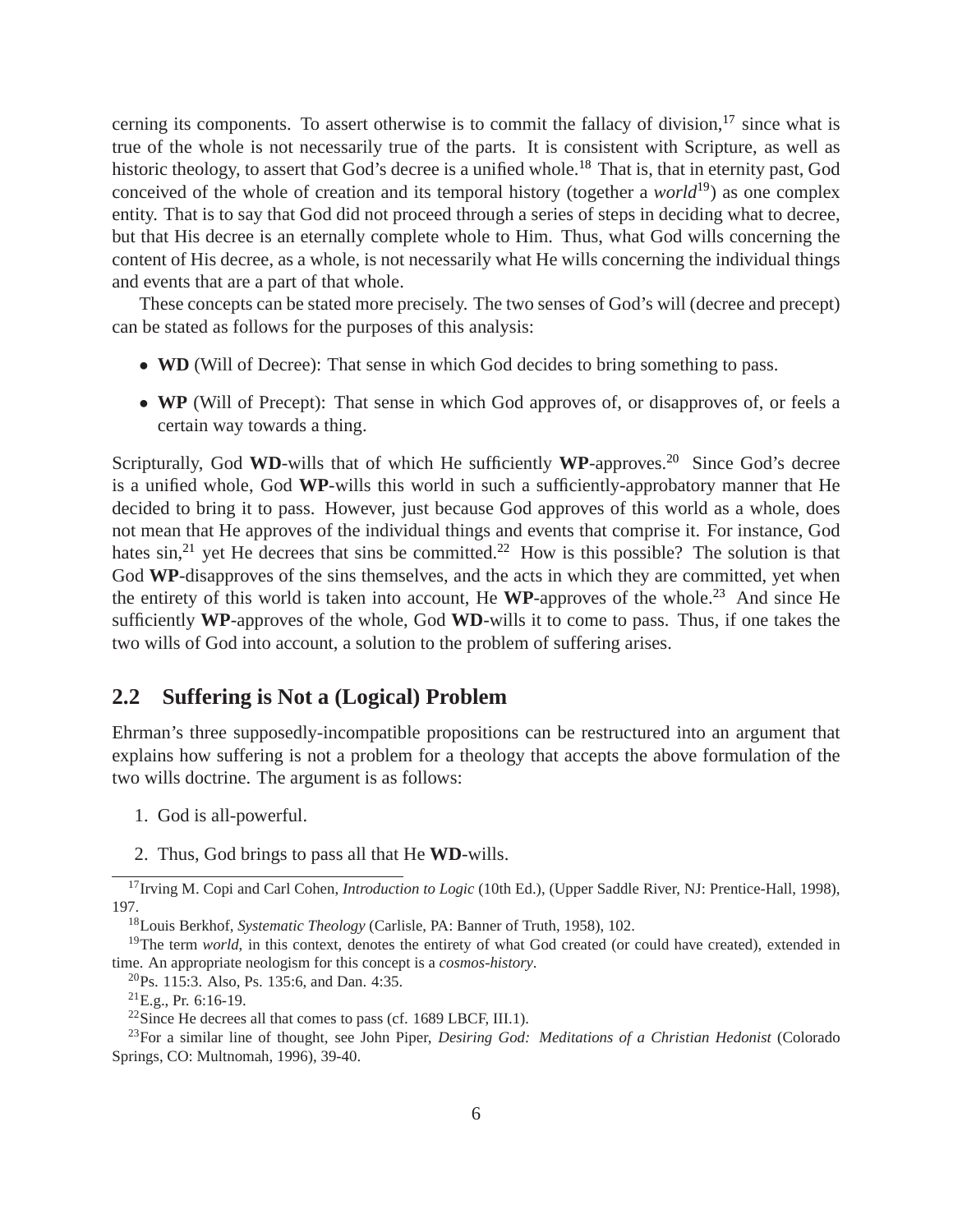cerning its components. To assert otherwise is to commit the fallacy of division, $17$  since what is true of the whole is not necessarily true of the parts. It is consistent with Scripture, as well as historic theology, to assert that God's decree is a unified whole.<sup>[18](#page-5-1)</sup> That is, that in eternity past, God conceived of the whole of creation and its temporal history (together a *world*[19](#page-5-2)) as one complex entity. That is to say that God did not proceed through a series of steps in deciding what to decree, but that His decree is an eternally complete whole to Him. Thus, what God wills concerning the content of His decree, as a whole, is not necessarily what He wills concerning the individual things and events that are a part of that whole.

These concepts can be stated more precisely. The two senses of God's will (decree and precept) can be stated as follows for the purposes of this analysis:

- **WD** (Will of Decree): That sense in which God decides to bring something to pass.
- **WP** (Will of Precept): That sense in which God approves of, or disapproves of, or feels a certain way towards a thing.

Scripturally, God WD-wills that of which He sufficiently WP-approves.<sup>[20](#page-5-3)</sup> Since God's decree is a unified whole, God **WP**-wills this world in such a sufficiently-approbatory manner that He decided to bring it to pass. However, just because God approves of this world as a whole, does not mean that He approves of the individual things and events that comprise it. For instance, God hates  $\sin^{21}$  $\sin^{21}$  $\sin^{21}$  yet He decrees that sins be committed.<sup>[22](#page-5-5)</sup> How is this possible? The solution is that God **WP**-disapproves of the sins themselves, and the acts in which they are committed, yet when the entirety of this world is taken into account, He  $WP$ -approves of the whole.<sup>[23](#page-5-6)</sup> And since He sufficiently **WP**-approves of the whole, God **WD**-wills it to come to pass. Thus, if one takes the two wills of God into account, a solution to the problem of suffering arises.

#### **2.2 Suffering is Not a (Logical) Problem**

Ehrman's three supposedly-incompatible propositions can be restructured into an argument that explains how suffering is not a problem for a theology that accepts the above formulation of the two wills doctrine. The argument is as follows:

- 1. God is all-powerful.
- 2. Thus, God brings to pass all that He **WD**-wills.

<sup>&</sup>lt;sup>17</sup>Irving M. Copi and Carl Cohen, *Introduction to Logic* (10th Ed.), (Upper Saddle River, NJ: Prentice-Hall, 1998), 197.

<span id="page-5-1"></span><span id="page-5-0"></span><sup>18</sup>Louis Berkhof, *Systematic Theology* (Carlisle, PA: Banner of Truth, 1958), 102.

<sup>&</sup>lt;sup>19</sup>The term *world*, in this context, denotes the entirety of what God created (or could have created), extended in time. An appropriate neologism for this concept is a *cosmos-history*.

<span id="page-5-2"></span> $^{20}$ Ps. 115:3. Also, Ps. 135:6, and Dan. 4:35.

<span id="page-5-3"></span><sup>21</sup>E.g., Pr. 6:16-19.

<span id="page-5-5"></span><span id="page-5-4"></span><sup>22</sup>Since He decrees all that comes to pass (cf. 1689 LBCF, III.1).

<span id="page-5-6"></span><sup>23</sup>For a similar line of thought, see John Piper, *Desiring God: Meditations of a Christian Hedonist* (Colorado Springs, CO: Multnomah, 1996), 39-40.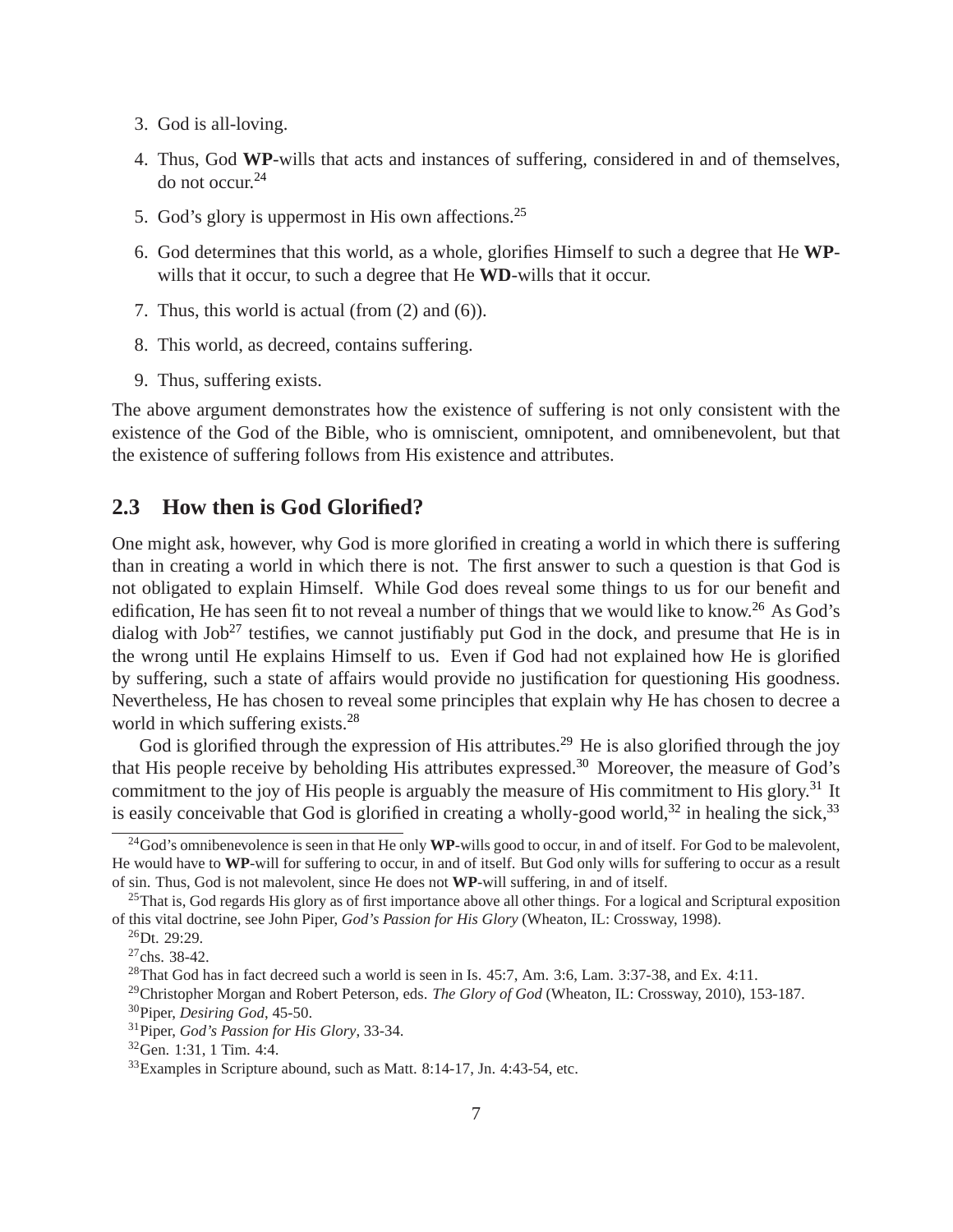- 3. God is all-loving.
- 4. Thus, God **WP**-wills that acts and instances of suffering, considered in and of themselves, do not occur.[24](#page-6-0)
- 5. God's glory is uppermost in His own affections.[25](#page-6-1)
- 6. God determines that this world, as a whole, glorifies Himself to such a degree that He **WP**wills that it occur, to such a degree that He **WD**-wills that it occur.
- 7. Thus, this world is actual (from (2) and (6)).
- 8. This world, as decreed, contains suffering.
- 9. Thus, suffering exists.

The above argument demonstrates how the existence of suffering is not only consistent with the existence of the God of the Bible, who is omniscient, omnipotent, and omnibenevolent, but that the existence of suffering follows from His existence and attributes.

### **2.3 How then is God Glorified?**

One might ask, however, why God is more glorified in creating a world in which there is suffering than in creating a world in which there is not. The first answer to such a question is that God is not obligated to explain Himself. While God does reveal some things to us for our benefit and edification, He has seen fit to not reveal a number of things that we would like to know.<sup>[26](#page-6-2)</sup> As God's dialog with  $Job^{27}$  $Job^{27}$  $Job^{27}$  testifies, we cannot justifiably put God in the dock, and presume that He is in the wrong until He explains Himself to us. Even if God had not explained how He is glorified by suffering, such a state of affairs would provide no justification for questioning His goodness. Nevertheless, He has chosen to reveal some principles that explain why He has chosen to decree a world in which suffering exists.<sup>[28](#page-6-4)</sup>

God is glorified through the expression of His attributes.<sup>[29](#page-6-5)</sup> He is also glorified through the joy that His people receive by beholding His attributes expressed.[30](#page-6-6) Moreover, the measure of God's commitment to the joy of His people is arguably the measure of His commitment to His glory.<sup>[31](#page-6-7)</sup> It is easily conceivable that God is glorified in creating a wholly-good world,<sup>[32](#page-6-8)</sup> in healing the sick,<sup>[33](#page-6-9)</sup>

<span id="page-6-0"></span><sup>&</sup>lt;sup>24</sup>God's omnibenevolence is seen in that He only WP-wills good to occur, in and of itself. For God to be malevolent, He would have to **WP**-will for suffering to occur, in and of itself. But God only wills for suffering to occur as a result of sin. Thus, God is not malevolent, since He does not **WP**-will suffering, in and of itself.

 $^{25}$ That is, God regards His glory as of first importance above all other things. For a logical and Scriptural exposition of this vital doctrine, see John Piper, *God's Passion for His Glory* (Wheaton, IL: Crossway, 1998).

<span id="page-6-1"></span> $^{26}$ Dt. 29:29.

<span id="page-6-2"></span> $27$ chs. 38-42.

<span id="page-6-3"></span> $^{28}$ That God has in fact decreed such a world is seen in Is. 45:7, Am. 3:6, Lam. 3:37-38, and Ex. 4:11.

<span id="page-6-5"></span><span id="page-6-4"></span><sup>29</sup>Christopher Morgan and Robert Peterson, eds. *The Glory of God* (Wheaton, IL: Crossway, 2010), 153-187. <sup>30</sup>Piper, *Desiring God*, 45-50.

<span id="page-6-6"></span><sup>31</sup>Piper, *God's Passion for His Glory*, 33-34.

<span id="page-6-7"></span><sup>32</sup>Gen. 1:31, 1 Tim. 4:4.

<span id="page-6-9"></span><span id="page-6-8"></span><sup>33</sup>Examples in Scripture abound, such as Matt. 8:14-17, Jn. 4:43-54, etc.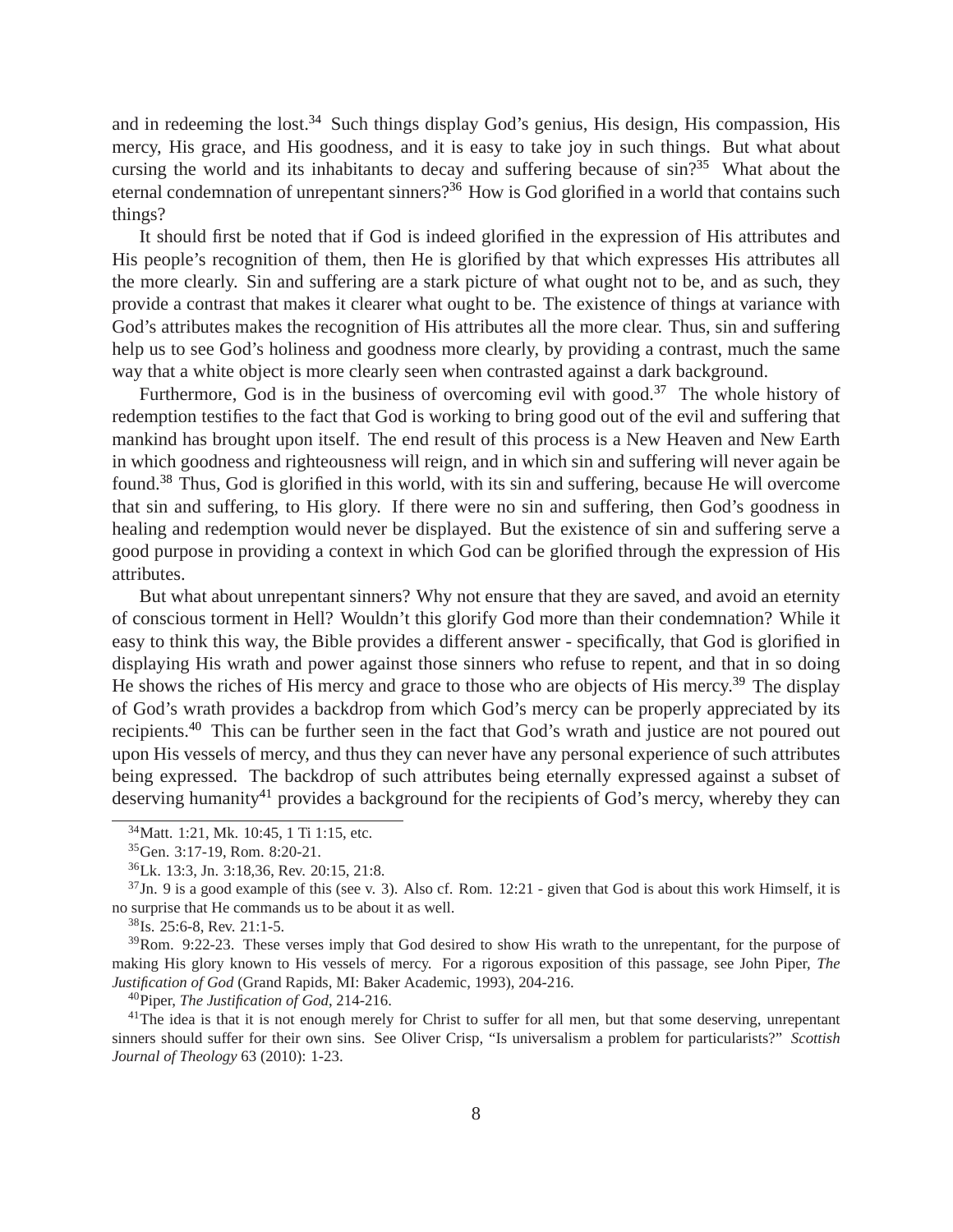and in redeeming the lost.<sup>[34](#page-7-0)</sup> Such things display God's genius, His design, His compassion, His mercy, His grace, and His goodness, and it is easy to take joy in such things. But what about cursing the world and its inhabitants to decay and suffering because of  $\sin^{35}$  $\sin^{35}$  $\sin^{35}$  What about the eternal condemnation of unrepentant sinners?<sup>[36](#page-7-2)</sup> How is God glorified in a world that contains such things?

It should first be noted that if God is indeed glorified in the expression of His attributes and His people's recognition of them, then He is glorified by that which expresses His attributes all the more clearly. Sin and suffering are a stark picture of what ought not to be, and as such, they provide a contrast that makes it clearer what ought to be. The existence of things at variance with God's attributes makes the recognition of His attributes all the more clear. Thus, sin and suffering help us to see God's holiness and goodness more clearly, by providing a contrast, much the same way that a white object is more clearly seen when contrasted against a dark background.

Furthermore, God is in the business of overcoming evil with good.<sup>[37](#page-7-3)</sup> The whole history of redemption testifies to the fact that God is working to bring good out of the evil and suffering that mankind has brought upon itself. The end result of this process is a New Heaven and New Earth in which goodness and righteousness will reign, and in which sin and suffering will never again be found.[38](#page-7-4) Thus, God is glorified in this world, with its sin and suffering, because He will overcome that sin and suffering, to His glory. If there were no sin and suffering, then God's goodness in healing and redemption would never be displayed. But the existence of sin and suffering serve a good purpose in providing a context in which God can be glorified through the expression of His attributes.

But what about unrepentant sinners? Why not ensure that they are saved, and avoid an eternity of conscious torment in Hell? Wouldn't this glorify God more than their condemnation? While it easy to think this way, the Bible provides a different answer - specifically, that God is glorified in displaying His wrath and power against those sinners who refuse to repent, and that in so doing He shows the riches of His mercy and grace to those who are objects of His mercy.<sup>[39](#page-7-5)</sup> The display of God's wrath provides a backdrop from which God's mercy can be properly appreciated by its recipients.[40](#page-7-6) This can be further seen in the fact that God's wrath and justice are not poured out upon His vessels of mercy, and thus they can never have any personal experience of such attributes being expressed. The backdrop of such attributes being eternally expressed against a subset of deserving humanity<sup>[41](#page-7-7)</sup> provides a background for the recipients of God's mercy, whereby they can

<span id="page-7-5"></span> $39$ Rom. 9:22-23. These verses imply that God desired to show His wrath to the unrepentant, for the purpose of making His glory known to His vessels of mercy. For a rigorous exposition of this passage, see John Piper, *The Justification of God* (Grand Rapids, MI: Baker Academic, 1993), 204-216.

<span id="page-7-6"></span><sup>40</sup>Piper, *The Justification of God*, 214-216.

<span id="page-7-7"></span><sup>41</sup>The idea is that it is not enough merely for Christ to suffer for all men, but that some deserving, unrepentant sinners should suffer for their own sins. See Oliver Crisp, "Is universalism a problem for particularists?" *Scottish Journal of Theology* 63 (2010): 1-23.

<sup>34</sup>Matt. 1:21, Mk. 10:45, 1 Ti 1:15, etc.

<span id="page-7-0"></span><sup>35</sup>Gen. 3:17-19, Rom. 8:20-21.

<span id="page-7-2"></span><span id="page-7-1"></span><sup>36</sup>Lk. 13:3, Jn. 3:18,36, Rev. 20:15, 21:8.

 $37$ Jn. 9 is a good example of this (see v. 3). Also cf. Rom. 12:21 - given that God is about this work Himself, it is no surprise that He commands us to be about it as well.

<span id="page-7-4"></span><span id="page-7-3"></span><sup>38</sup>Is. 25:6-8, Rev. 21:1-5.